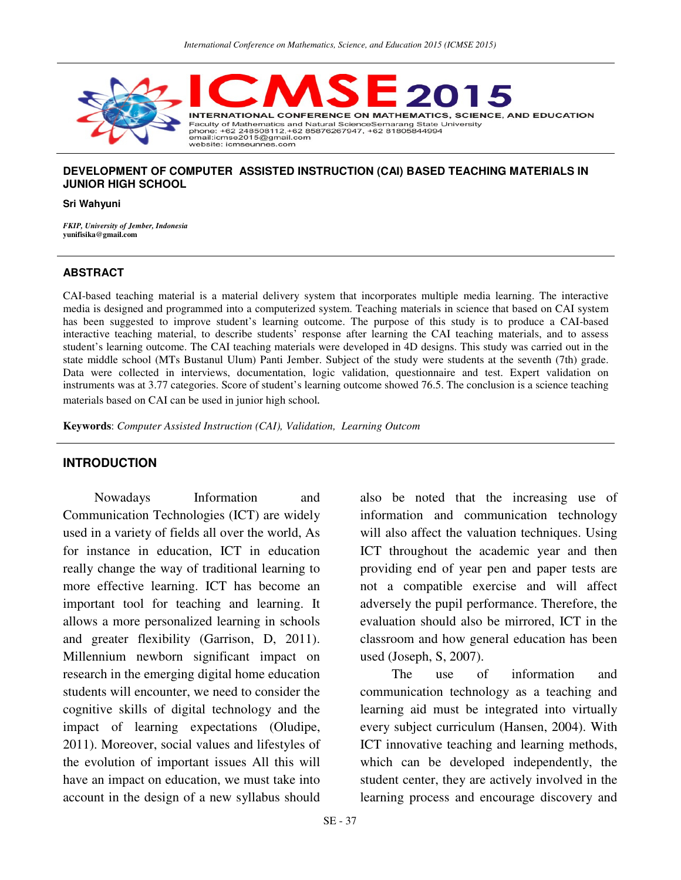

## **DEVELOPMENT OF COMPUTER ASSISTED INSTRUCTION (CAI) BASED TEACHING MATERIALS IN JUNIOR HIGH SCHOOL**

#### **Sri Wahyuni**

*FKIP, University of Jember, Indonesia*  **yunifisika@gmail.com** 

#### **ABSTRACT**

CAI-based teaching material is a material delivery system that incorporates multiple media learning. The interactive media is designed and programmed into a computerized system. Teaching materials in science that based on CAI system has been suggested to improve student's learning outcome. The purpose of this study is to produce a CAI-based interactive teaching material, to describe students' response after learning the CAI teaching materials, and to assess student's learning outcome. The CAI teaching materials were developed in 4D designs. This study was carried out in the state middle school (MTs Bustanul Ulum) Panti Jember. Subject of the study were students at the seventh (7th) grade. Data were collected in interviews, documentation, logic validation, questionnaire and test. Expert validation on instruments was at 3.77 categories. Score of student's learning outcome showed 76.5. The conclusion is a science teaching materials based on CAI can be used in junior high school*.* 

**Keywords**: *Computer Assisted Instruction (CAI), Validation, Learning Outcom*

### **INTRODUCTION**

Nowadays Information and Communication Technologies (ICT) are widely used in a variety of fields all over the world, As for instance in education, ICT in education really change the way of traditional learning to more effective learning. ICT has become an important tool for teaching and learning. It allows a more personalized learning in schools and greater flexibility (Garrison, D, 2011). Millennium newborn significant impact on research in the emerging digital home education students will encounter, we need to consider the cognitive skills of digital technology and the impact of learning expectations (Oludipe, 2011). Moreover, social values and lifestyles of the evolution of important issues All this will have an impact on education, we must take into account in the design of a new syllabus should

also be noted that the increasing use of information and communication technology will also affect the valuation techniques. Using ICT throughout the academic year and then providing end of year pen and paper tests are not a compatible exercise and will affect adversely the pupil performance. Therefore, the evaluation should also be mirrored, ICT in the classroom and how general education has been used (Joseph, S, 2007).

The use of information and communication technology as a teaching and learning aid must be integrated into virtually every subject curriculum (Hansen, 2004). With ICT innovative teaching and learning methods, which can be developed independently, the student center, they are actively involved in the learning process and encourage discovery and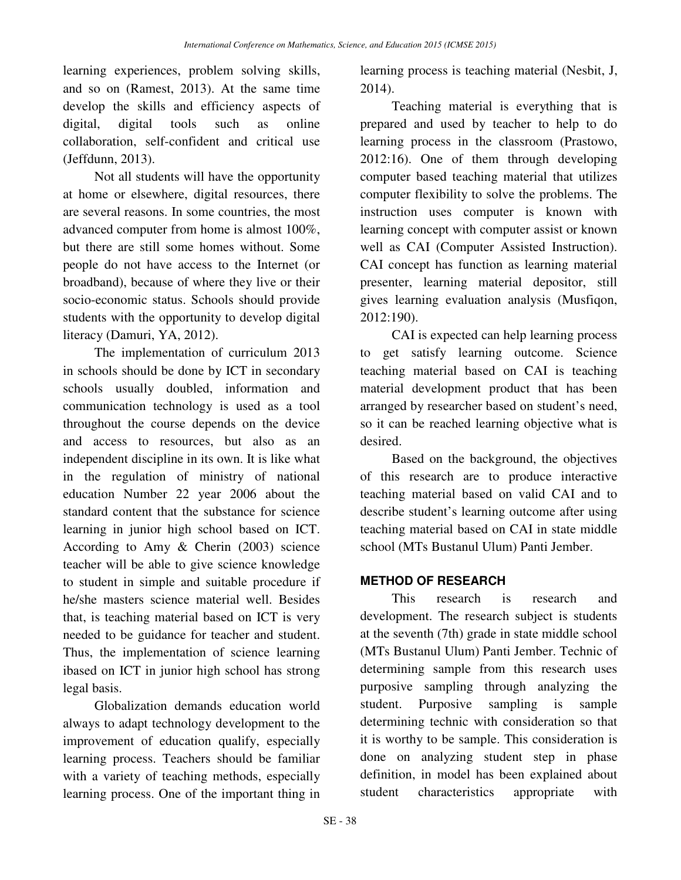learning experiences, problem solving skills, and so on (Ramest, 2013). At the same time develop the skills and efficiency aspects of digital, digital tools such as online collaboration, self-confident and critical use (Jeffdunn, 2013).

Not all students will have the opportunity at home or elsewhere, digital resources, there are several reasons. In some countries, the most advanced computer from home is almost 100%, but there are still some homes without. Some people do not have access to the Internet (or broadband), because of where they live or their socio-economic status. Schools should provide students with the opportunity to develop digital literacy (Damuri, YA, 2012).

The implementation of curriculum 2013 in schools should be done by ICT in secondary schools usually doubled, information and communication technology is used as a tool throughout the course depends on the device and access to resources, but also as an independent discipline in its own. It is like what in the regulation of ministry of national education Number 22 year 2006 about the standard content that the substance for science learning in junior high school based on ICT. According to Amy & Cherin (2003) science teacher will be able to give science knowledge to student in simple and suitable procedure if he/she masters science material well. Besides that, is teaching material based on ICT is very needed to be guidance for teacher and student. Thus, the implementation of science learning ibased on ICT in junior high school has strong legal basis.

Globalization demands education world always to adapt technology development to the improvement of education qualify, especially learning process. Teachers should be familiar with a variety of teaching methods, especially learning process. One of the important thing in

learning process is teaching material (Nesbit, J, 2014).

Teaching material is everything that is prepared and used by teacher to help to do learning process in the classroom (Prastowo, 2012:16). One of them through developing computer based teaching material that utilizes computer flexibility to solve the problems. The instruction uses computer is known with learning concept with computer assist or known well as CAI (Computer Assisted Instruction). CAI concept has function as learning material presenter, learning material depositor, still gives learning evaluation analysis (Musfiqon, 2012:190).

CAI is expected can help learning process to get satisfy learning outcome. Science teaching material based on CAI is teaching material development product that has been arranged by researcher based on student's need, so it can be reached learning objective what is desired.

Based on the background, the objectives of this research are to produce interactive teaching material based on valid CAI and to describe student's learning outcome after using teaching material based on CAI in state middle school (MTs Bustanul Ulum) Panti Jember.

# **METHOD OF RESEARCH**

This research is research and development. The research subject is students at the seventh (7th) grade in state middle school (MTs Bustanul Ulum) Panti Jember. Technic of determining sample from this research uses purposive sampling through analyzing the student. Purposive sampling is sample determining technic with consideration so that it is worthy to be sample. This consideration is done on analyzing student step in phase definition, in model has been explained about student characteristics appropriate with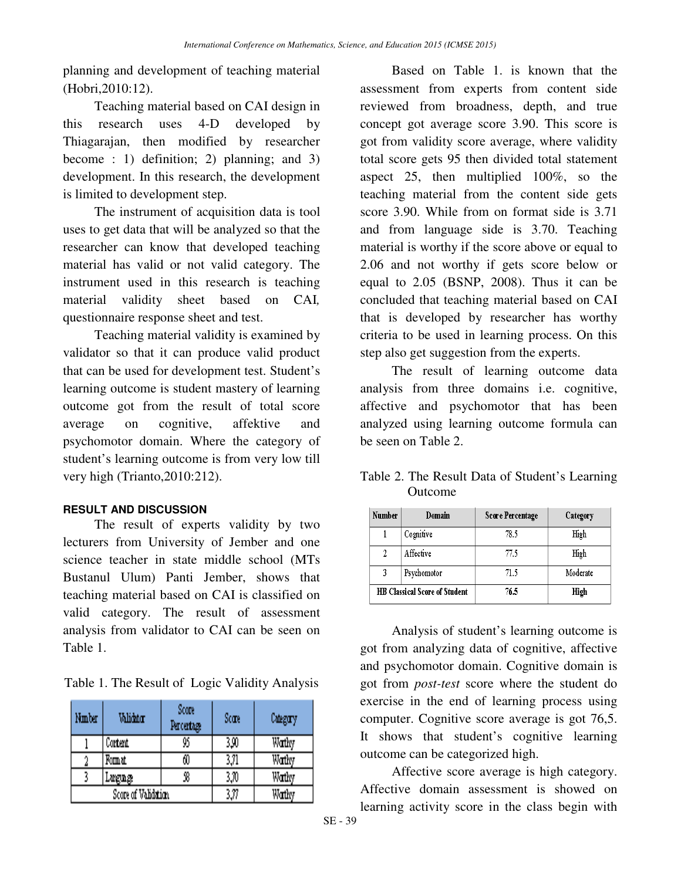planning and development of teaching material (Hobri,2010:12).

Teaching material based on CAI design in this research uses 4-D developed by Thiagarajan, then modified by researcher become : 1) definition; 2) planning; and 3) development. In this research, the development is limited to development step.

The instrument of acquisition data is tool uses to get data that will be analyzed so that the researcher can know that developed teaching material has valid or not valid category. The instrument used in this research is teaching material validity sheet based on CAI*,*  questionnaire response sheet and test.

Teaching material validity is examined by validator so that it can produce valid product that can be used for development test. Student's learning outcome is student mastery of learning outcome got from the result of total score average on cognitive, affektive and psychomotor domain. Where the category of student's learning outcome is from very low till very high (Trianto,2010:212).

# **RESULT AND DISCUSSION**

The result of experts validity by two lecturers from University of Jember and one science teacher in state middle school (MTs Bustanul Ulum) Panti Jember, shows that teaching material based on CAI is classified on valid category. The result of assessment analysis from validator to CAI can be seen on Table 1.

Table 1. The Result of Logic Validity Analysis

| Nmber               | Validator | Score<br>Percertage | Scare | Савдагу |
|---------------------|-----------|---------------------|-------|---------|
|                     | Content   | 95                  | 3,90  | Wathy   |
|                     | Fomat     | 60                  | 3,71  | Wathy   |
|                     | Lugng     | 38                  | 3,70  | Wathy   |
| Score of Validation |           |                     | 3,77  | Wathy   |

Based on Table 1. is known that the assessment from experts from content side reviewed from broadness, depth, and true concept got average score 3.90. This score is got from validity score average, where validity total score gets 95 then divided total statement aspect 25, then multiplied 100%, so the teaching material from the content side gets score 3.90. While from on format side is 3.71 and from language side is 3.70. Teaching material is worthy if the score above or equal to 2.06 and not worthy if gets score below or equal to 2.05 (BSNP, 2008). Thus it can be concluded that teaching material based on CAI that is developed by researcher has worthy criteria to be used in learning process. On this step also get suggestion from the experts.

The result of learning outcome data analysis from three domains i.e. cognitive, affective and psychomotor that has been analyzed using learning outcome formula can be seen on Table 2.

| Table 2. The Result Data of Student's Learning |
|------------------------------------------------|
| Outcome                                        |

| Number                               | Domain      | <b>Score Percentage</b> | Category |
|--------------------------------------|-------------|-------------------------|----------|
|                                      | Cognitive   | 78.5                    | High     |
|                                      | Affective   | 77.5                    | High     |
| 3                                    | Psychomotor | 71.5                    | Moderate |
| <b>HB Classical Score of Student</b> |             | 76.5                    | High     |

Analysis of student's learning outcome is got from analyzing data of cognitive, affective and psychomotor domain. Cognitive domain is got from *post-test* score where the student do exercise in the end of learning process using computer. Cognitive score average is got 76,5. It shows that student's cognitive learning outcome can be categorized high.

Affective score average is high category. Affective domain assessment is showed on learning activity score in the class begin with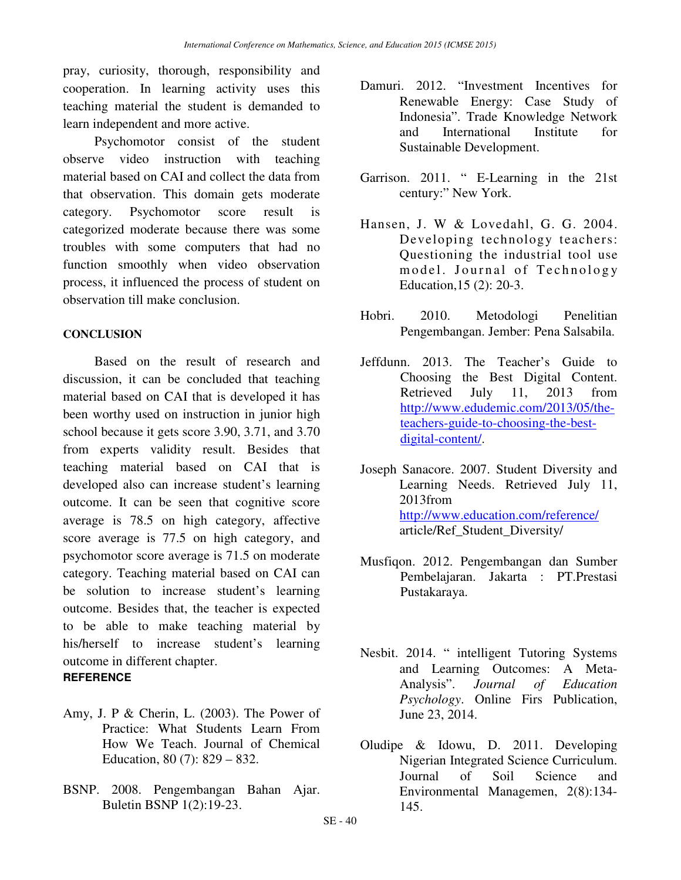pray, curiosity, thorough, responsibility and cooperation. In learning activity uses this teaching material the student is demanded to learn independent and more active.

Psychomotor consist of the student observe video instruction with teaching material based on CAI and collect the data from that observation. This domain gets moderate category. Psychomotor score result is categorized moderate because there was some troubles with some computers that had no function smoothly when video observation process, it influenced the process of student on observation till make conclusion.

#### **CONCLUSION**

Based on the result of research and discussion, it can be concluded that teaching material based on CAI that is developed it has been worthy used on instruction in junior high school because it gets score 3.90, 3.71, and 3.70 from experts validity result. Besides that teaching material based on CAI that is developed also can increase student's learning outcome. It can be seen that cognitive score average is 78.5 on high category, affective score average is 77.5 on high category, and psychomotor score average is 71.5 on moderate category. Teaching material based on CAI can be solution to increase student's learning outcome. Besides that, the teacher is expected to be able to make teaching material by his/herself to increase student's learning outcome in different chapter. **REFERENCE** 

- Amy, J. P & Cherin, L. (2003). The Power of Practice: What Students Learn From How We Teach. Journal of Chemical Education, 80 (7): 829 – 832.
- BSNP. 2008. Pengembangan Bahan Ajar. Buletin BSNP 1(2):19-23.
- Damuri. 2012. "Investment Incentives for Renewable Energy: Case Study of Indonesia". Trade Knowledge Network and International Institute for Sustainable Development.
- Garrison. 2011. " E-Learning in the 21st century:" New York.
- Hansen, J. W & Lovedahl, G. G. 2004. Developing technology teachers: Questioning the industrial tool use model. Journal of Technology Education,15 (2): 20-3.
- Hobri. 2010. Metodologi Penelitian Pengembangan. Jember: Pena Salsabila.
- Jeffdunn. 2013. The Teacher's Guide to Choosing the Best Digital Content. Retrieved July 11, 2013 from http://www.edudemic.com/2013/05/theteachers-guide-to-choosing-the-bestdigital-content/.
- Joseph Sanacore. 2007. Student Diversity and Learning Needs. Retrieved July 11, 2013from http://www.education.com/reference/ article/Ref\_Student\_Diversity/
- Musfiqon. 2012. Pengembangan dan Sumber Pembelajaran. Jakarta : PT.Prestasi Pustakaraya.
- Nesbit. 2014. " intelligent Tutoring Systems and Learning Outcomes: A Meta-Analysis". *Journal of Education Psychology*. Online Firs Publication, June 23, 2014.
- Oludipe & Idowu, D. 2011. Developing Nigerian Integrated Science Curriculum. Journal of Soil Science and Environmental Managemen, 2(8):134- 145.